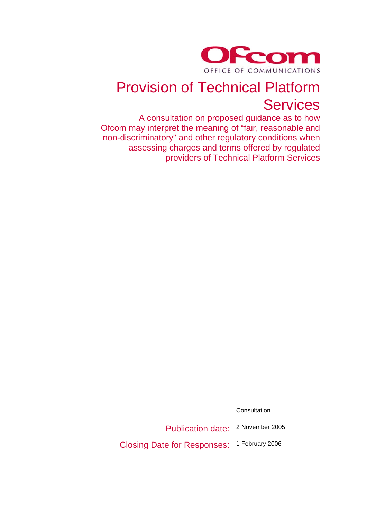

# Provision of Technical Platform **Services**

A consultation on proposed guidance as to how Ofcom may interpret the meaning of "fair, reasonable and non-discriminatory" and other regulatory conditions when assessing charges and terms offered by regulated providers of Technical Platform Services

Consultation

Publication date: 2 November 2005

Closing Date for Responses: 1 February 2006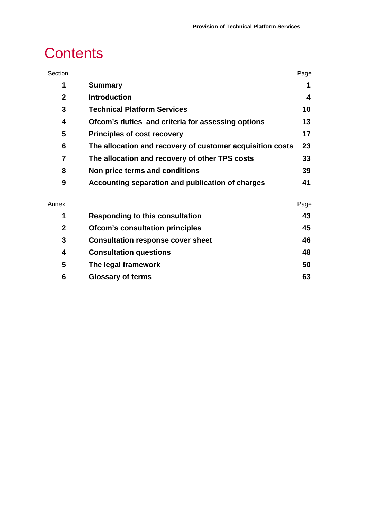# **Contents**

| Section      |                                                           | Page |
|--------------|-----------------------------------------------------------|------|
| 1            | <b>Summary</b>                                            | 1    |
| $\mathbf{2}$ | <b>Introduction</b>                                       | 4    |
| 3            | <b>Technical Platform Services</b>                        | 10   |
| 4            | Ofcom's duties and criteria for assessing options         | 13   |
| 5            | <b>Principles of cost recovery</b>                        | 17   |
| 6            | The allocation and recovery of customer acquisition costs | 23   |
| 7            | The allocation and recovery of other TPS costs            | 33   |
| 8            | Non price terms and conditions                            | 39   |
| 9            | Accounting separation and publication of charges          | 41   |
| Annex        |                                                           | Page |

|   | <b>Responding to this consultation</b>   | 43 |
|---|------------------------------------------|----|
| 2 | <b>Ofcom's consultation principles</b>   | 45 |
|   | <b>Consultation response cover sheet</b> | 46 |
| 4 | <b>Consultation questions</b>            | 48 |
| 5 | The legal framework                      | 50 |
| 6 | <b>Glossary of terms</b>                 | 63 |
|   |                                          |    |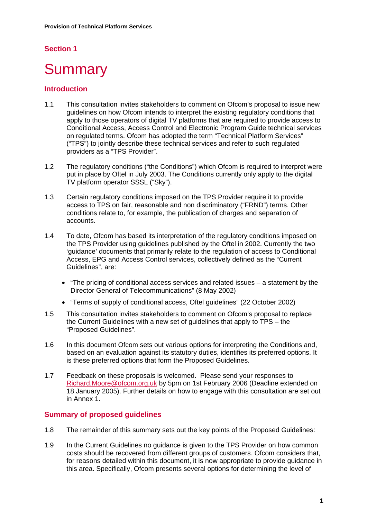## **Section 1**

# **Summary**

## **Introduction**

- 1.1 This consultation invites stakeholders to comment on Ofcom's proposal to issue new guidelines on how Ofcom intends to interpret the existing regulatory conditions that apply to those operators of digital TV platforms that are required to provide access to Conditional Access, Access Control and Electronic Program Guide technical services on regulated terms. Ofcom has adopted the term "Technical Platform Services" ("TPS") to jointly describe these technical services and refer to such regulated providers as a "TPS Provider".
- 1.2 The regulatory conditions ("the Conditions") which Ofcom is required to interpret were put in place by Oftel in July 2003. The Conditions currently only apply to the digital TV platform operator SSSL ("Sky").
- 1.3 Certain regulatory conditions imposed on the TPS Provider require it to provide access to TPS on fair, reasonable and non discriminatory ("FRND") terms. Other conditions relate to, for example, the publication of charges and separation of accounts.
- 1.4 To date, Ofcom has based its interpretation of the regulatory conditions imposed on the TPS Provider using guidelines published by the Oftel in 2002. Currently the two 'guidance' documents that primarily relate to the regulation of access to Conditional Access, EPG and Access Control services, collectively defined as the "Current Guidelines", are:
	- "The pricing of conditional access services and related issues a statement by the Director General of Telecommunications" (8 May 2002)
	- "Terms of supply of conditional access, Oftel guidelines" (22 October 2002)
- 1.5 This consultation invites stakeholders to comment on Ofcom's proposal to replace the Current Guidelines with a new set of guidelines that apply to TPS – the "Proposed Guidelines".
- 1.6 In this document Ofcom sets out various options for interpreting the Conditions and, based on an evaluation against its statutory duties, identifies its preferred options. It is these preferred options that form the Proposed Guidelines.
- 1.7 Feedback on these proposals is welcomed. Please send your responses to Richard.Moore@ofcom.org.uk by 5pm on 1st February 2006 (Deadline extended on 18 January 2005). Further details on how to engage with this consultation are set out in Annex 1.

## **Summary of proposed guidelines**

- 1.8 The remainder of this summary sets out the key points of the Proposed Guidelines:
- 1.9 In the Current Guidelines no guidance is given to the TPS Provider on how common costs should be recovered from different groups of customers. Ofcom considers that, for reasons detailed within this document, it is now appropriate to provide guidance in this area. Specifically, Ofcom presents several options for determining the level of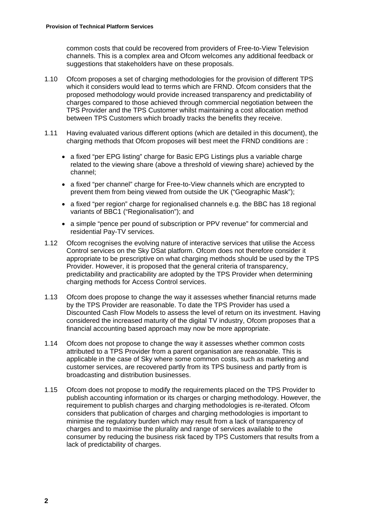common costs that could be recovered from providers of Free-to-View Television channels. This is a complex area and Ofcom welcomes any additional feedback or suggestions that stakeholders have on these proposals.

- 1.10 Ofcom proposes a set of charging methodologies for the provision of different TPS which it considers would lead to terms which are FRND. Ofcom considers that the proposed methodology would provide increased transparency and predictability of charges compared to those achieved through commercial negotiation between the TPS Provider and the TPS Customer whilst maintaining a cost allocation method between TPS Customers which broadly tracks the benefits they receive.
- 1.11 Having evaluated various different options (which are detailed in this document), the charging methods that Ofcom proposes will best meet the FRND conditions are :
	- a fixed "per EPG listing" charge for Basic EPG Listings plus a variable charge related to the viewing share (above a threshold of viewing share) achieved by the channel;
	- a fixed "per channel" charge for Free-to-View channels which are encrypted to prevent them from being viewed from outside the UK ("Geographic Mask");
	- a fixed "per region" charge for regionalised channels e.g. the BBC has 18 regional variants of BBC1 ("Regionalisation"); and
	- a simple "pence per pound of subscription or PPV revenue" for commercial and residential Pay-TV services.
- 1.12 Ofcom recognises the evolving nature of interactive services that utilise the Access Control services on the Sky DSat platform. Ofcom does not therefore consider it appropriate to be prescriptive on what charging methods should be used by the TPS Provider. However, it is proposed that the general criteria of transparency, predictability and practicability are adopted by the TPS Provider when determining charging methods for Access Control services.
- 1.13 Ofcom does propose to change the way it assesses whether financial returns made by the TPS Provider are reasonable. To date the TPS Provider has used a Discounted Cash Flow Models to assess the level of return on its investment. Having considered the increased maturity of the digital TV industry, Ofcom proposes that a financial accounting based approach may now be more appropriate.
- 1.14 Ofcom does not propose to change the way it assesses whether common costs attributed to a TPS Provider from a parent organisation are reasonable. This is applicable in the case of Sky where some common costs, such as marketing and customer services, are recovered partly from its TPS business and partly from is broadcasting and distribution businesses.
- 1.15 Ofcom does not propose to modify the requirements placed on the TPS Provider to publish accounting information or its charges or charging methodology. However, the requirement to publish charges and charging methodologies is re-iterated. Ofcom considers that publication of charges and charging methodologies is important to minimise the regulatory burden which may result from a lack of transparency of charges and to maximise the plurality and range of services available to the consumer by reducing the business risk faced by TPS Customers that results from a lack of predictability of charges.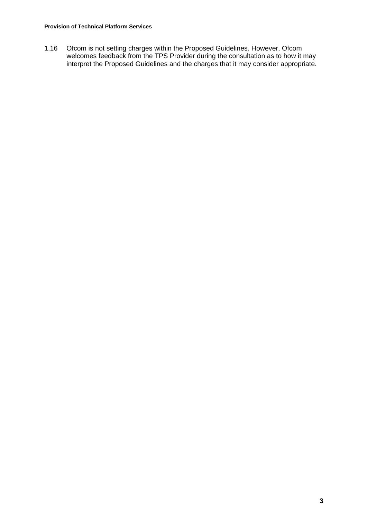1.16 Ofcom is not setting charges within the Proposed Guidelines. However, Ofcom welcomes feedback from the TPS Provider during the consultation as to how it may interpret the Proposed Guidelines and the charges that it may consider appropriate.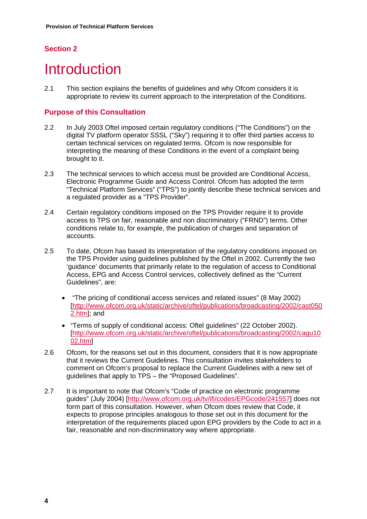# **Section 2**

# **Introduction**

2.1 This section explains the benefits of guidelines and why Ofcom considers it is appropriate to review its current approach to the interpretation of the Conditions.

## **Purpose of this Consultation**

- 2.2 In July 2003 Oftel imposed certain regulatory conditions ("The Conditions") on the digital TV platform operator SSSL ("Sky") requiring it to offer third parties access to certain technical services on regulated terms. Ofcom is now responsible for interpreting the meaning of these Conditions in the event of a complaint being brought to it.
- 2.3 The technical services to which access must be provided are Conditional Access, Electronic Programme Guide and Access Control. Ofcom has adopted the term "Technical Platform Services" ("TPS") to jointly describe these technical services and a regulated provider as a "TPS Provider".
- 2.4 Certain regulatory conditions imposed on the TPS Provider require it to provide access to TPS on fair, reasonable and non discriminatory ("FRND") terms. Other conditions relate to, for example, the publication of charges and separation of accounts.
- 2.5 To date, Ofcom has based its interpretation of the regulatory conditions imposed on the TPS Provider using guidelines published by the Oftel in 2002. Currently the two 'guidance' documents that primarily relate to the regulation of access to Conditional Access, EPG and Access Control services, collectively defined as the "Current Guidelines", are:
	- "The pricing of conditional access services and related issues" (8 May 2002) [http://www.ofcom.org.uk/static/archive/oftel/publications/broadcasting/2002/cast050 2.htm]; and
	- "Terms of supply of conditional access: Oftel guidelines" (22 October 2002). [http://www.ofcom.org.uk/static/archive/oftel/publications/broadcasting/2002/cagu10 02.htm]
- 2.6 Ofcom, for the reasons set out in this document, considers that it is now appropriate that it reviews the Current Guidelines. This consultation invites stakeholders to comment on Ofcom's proposal to replace the Current Guidelines with a new set of guidelines that apply to TPS – the "Proposed Guidelines".
- 2.7 It is important to note that Ofcom's "Code of practice on electronic programme guides" (July 2004) [http://www.ofcom.org.uk/tv/ifi/codes/EPGcode/241557] does not form part of this consultation. However, when Ofcom does review that Code, it expects to propose principles analogous to those set out in this document for the interpretation of the requirements placed upon EPG providers by the Code to act in a fair, reasonable and non-discriminatory way where appropriate.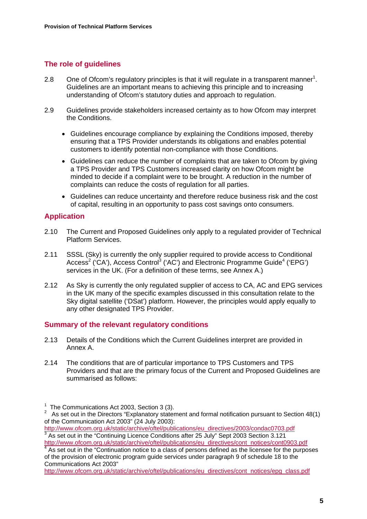## **The role of guidelines**

- 2.8 One of Ofcom's regulatory principles is that it will regulate in a transparent manner<sup>1</sup>. Guidelines are an important means to achieving this principle and to increasing understanding of Ofcom's statutory duties and approach to regulation.
- 2.9 Guidelines provide stakeholders increased certainty as to how Ofcom may interpret the Conditions.
	- Guidelines encourage compliance by explaining the Conditions imposed, thereby ensuring that a TPS Provider understands its obligations and enables potential customers to identify potential non-compliance with those Conditions.
	- Guidelines can reduce the number of complaints that are taken to Ofcom by giving a TPS Provider and TPS Customers increased clarity on how Ofcom might be minded to decide if a complaint were to be brought. A reduction in the number of complaints can reduce the costs of regulation for all parties.
	- Guidelines can reduce uncertainty and therefore reduce business risk and the cost of capital, resulting in an opportunity to pass cost savings onto consumers.

## **Application**

- 2.10 The Current and Proposed Guidelines only apply to a regulated provider of Technical Platform Services.
- 2.11 SSSL (Sky) is currently the only supplier required to provide access to Conditional Access<sup>2</sup> ('CA'), Access Control<sup>3</sup> ('AC') and Electronic Programme Guide<sup>4</sup> ('EPG') services in the UK. (For a definition of these terms, see Annex A.)
- 2.12 As Sky is currently the only regulated supplier of access to CA, AC and EPG services in the UK many of the specific examples discussed in this consultation relate to the Sky digital satellite ('DSat') platform. However, the principles would apply equally to any other designated TPS Provider.

#### **Summary of the relevant regulatory conditions**

- 2.13 Details of the Conditions which the Current Guidelines interpret are provided in Annex A.
- 2.14 The conditions that are of particular importance to TPS Customers and TPS Providers and that are the primary focus of the Current and Proposed Guidelines are summarised as follows:

http://www.ofcom.org.uk/static/archive/oftel/publications/eu\_directives/cont\_notices/cont0903.pdf <sup>4</sup> As set out in the "Continuation notice to a class of persons defined as the licensee for the purposes

of the provision of electronic program guide services under paragraph 9 of schedule 18 to the Communications Act 2003"

http://www.ofcom.org.uk/static/archive/oftel/publications/eu\_directives/cont\_notices/epg\_class.pdf

 $1$  The Communications Act 2003, Section 3 (3).

<sup>&</sup>lt;sup>2</sup> As set out in the Directors "Explanatory statement and formal notification pursuant to Section 48(1) of the Communication Act 2003" (24 July 2003):

http://www.ofcom.org.uk/static/archive/oftel/publications/eu\_directives/2003/condac0703.pdf <sup>3</sup> <sup>3</sup> As set out in the "Continuing Licence Conditions after 25 July" Sept 2003 Section 3.121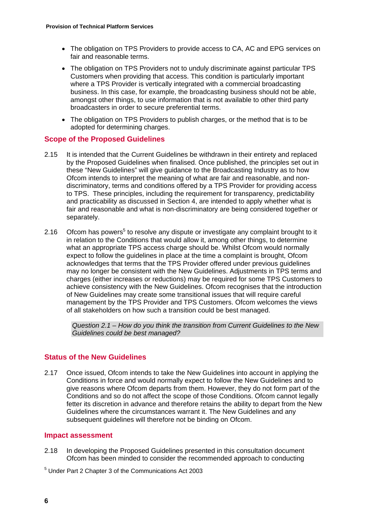- The obligation on TPS Providers to provide access to CA, AC and EPG services on fair and reasonable terms.
- The obligation on TPS Providers not to unduly discriminate against particular TPS Customers when providing that access. This condition is particularly important where a TPS Provider is vertically integrated with a commercial broadcasting business. In this case, for example, the broadcasting business should not be able, amongst other things, to use information that is not available to other third party broadcasters in order to secure preferential terms.
- The obligation on TPS Providers to publish charges, or the method that is to be adopted for determining charges.

## **Scope of the Proposed Guidelines**

- 2.15 It is intended that the Current Guidelines be withdrawn in their entirety and replaced by the Proposed Guidelines when finalised. Once published, the principles set out in these "New Guidelines" will give guidance to the Broadcasting Industry as to how Ofcom intends to interpret the meaning of what are fair and reasonable, and nondiscriminatory, terms and conditions offered by a TPS Provider for providing access to TPS. These principles, including the requirement for transparency, predictability and practicability as discussed in Section 4, are intended to apply whether what is fair and reasonable and what is non-discriminatory are being considered together or separately.
- 2.16 Ofcom has powers<sup>5</sup> to resolve any dispute or investigate any complaint brought to it in relation to the Conditions that would allow it, among other things, to determine what an appropriate TPS access charge should be. Whilst Ofcom would normally expect to follow the guidelines in place at the time a complaint is brought, Ofcom acknowledges that terms that the TPS Provider offered under previous guidelines may no longer be consistent with the New Guidelines. Adjustments in TPS terms and charges (either increases or reductions) may be required for some TPS Customers to achieve consistency with the New Guidelines. Ofcom recognises that the introduction of New Guidelines may create some transitional issues that will require careful management by the TPS Provider and TPS Customers. Ofcom welcomes the views of all stakeholders on how such a transition could be best managed.

*Question 2.1 – How do you think the transition from Current Guidelines to the New Guidelines could be best managed?* 

## **Status of the New Guidelines**

2.17 Once issued, Ofcom intends to take the New Guidelines into account in applying the Conditions in force and would normally expect to follow the New Guidelines and to give reasons where Ofcom departs from them. However, they do not form part of the Conditions and so do not affect the scope of those Conditions. Ofcom cannot legally fetter its discretion in advance and therefore retains the ability to depart from the New Guidelines where the circumstances warrant it. The New Guidelines and any subsequent guidelines will therefore not be binding on Ofcom.

## **Impact assessment**

- 2.18 In developing the Proposed Guidelines presented in this consultation document Ofcom has been minded to consider the recommended approach to conducting
- 5 Under Part 2 Chapter 3 of the Communications Act 2003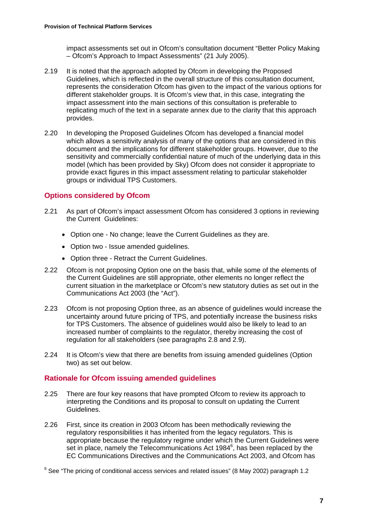impact assessments set out in Ofcom's consultation document "Better Policy Making – Ofcom's Approach to Impact Assessments" (21 July 2005).

- 2.19 It is noted that the approach adopted by Ofcom in developing the Proposed Guidelines, which is reflected in the overall structure of this consultation document, represents the consideration Ofcom has given to the impact of the various options for different stakeholder groups. It is Ofcom's view that, in this case, integrating the impact assessment into the main sections of this consultation is preferable to replicating much of the text in a separate annex due to the clarity that this approach provides.
- 2.20 In developing the Proposed Guidelines Ofcom has developed a financial model which allows a sensitivity analysis of many of the options that are considered in this document and the implications for different stakeholder groups. However, due to the sensitivity and commercially confidential nature of much of the underlying data in this model (which has been provided by Sky) Ofcom does not consider it appropriate to provide exact figures in this impact assessment relating to particular stakeholder groups or individual TPS Customers.

## **Options considered by Ofcom**

- 2.21 As part of Ofcom's impact assessment Ofcom has considered 3 options in reviewing the Current Guidelines:
	- Option one No change; leave the Current Guidelines as they are.
	- Option two Issue amended guidelines.
	- Option three Retract the Current Guidelines.
- 2.22 Ofcom is not proposing Option one on the basis that, while some of the elements of the Current Guidelines are still appropriate, other elements no longer reflect the current situation in the marketplace or Ofcom's new statutory duties as set out in the Communications Act 2003 (the "Act").
- 2.23 Ofcom is not proposing Option three, as an absence of guidelines would increase the uncertainty around future pricing of TPS, and potentially increase the business risks for TPS Customers. The absence of guidelines would also be likely to lead to an increased number of complaints to the regulator, thereby increasing the cost of regulation for all stakeholders (see paragraphs 2.8 and 2.9).
- 2.24 It is Ofcom's view that there are benefits from issuing amended guidelines (Option two) as set out below.

## **Rationale for Ofcom issuing amended guidelines**

- 2.25 There are four key reasons that have prompted Ofcom to review its approach to interpreting the Conditions and its proposal to consult on updating the Current Guidelines.
- 2.26 First, since its creation in 2003 Ofcom has been methodically reviewing the regulatory responsibilities it has inherited from the legacy regulators. This is appropriate because the regulatory regime under which the Current Guidelines were set in place, namely the Telecommunications Act 1984<sup>6</sup>, has been replaced by the EC Communications Directives and the Communications Act 2003, and Ofcom has

 $^6$  See "The pricing of conditional access services and related issues" (8 May 2002) paragraph 1.2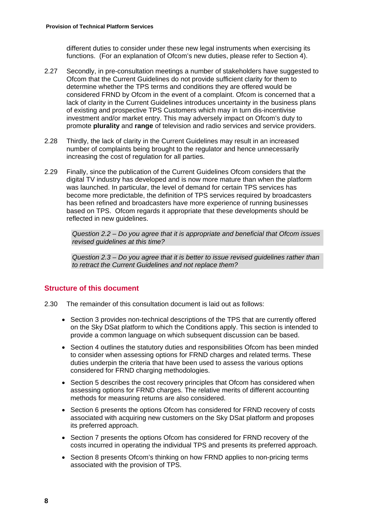different duties to consider under these new legal instruments when exercising its functions. (For an explanation of Ofcom's new duties, please refer to Section 4).

- 2.27 Secondly, in pre-consultation meetings a number of stakeholders have suggested to Ofcom that the Current Guidelines do not provide sufficient clarity for them to determine whether the TPS terms and conditions they are offered would be considered FRND by Ofcom in the event of a complaint. Ofcom is concerned that a lack of clarity in the Current Guidelines introduces uncertainty in the business plans of existing and prospective TPS Customers which may in turn dis-incentivise investment and/or market entry. This may adversely impact on Ofcom's duty to promote **plurality** and **range** of television and radio services and service providers.
- 2.28 Thirdly, the lack of clarity in the Current Guidelines may result in an increased number of complaints being brought to the regulator and hence unnecessarily increasing the cost of regulation for all parties.
- 2.29 Finally, since the publication of the Current Guidelines Ofcom considers that the digital TV industry has developed and is now more mature than when the platform was launched. In particular, the level of demand for certain TPS services has become more predictable, the definition of TPS services required by broadcasters has been refined and broadcasters have more experience of running businesses based on TPS. Ofcom regards it appropriate that these developments should be reflected in new guidelines.

*Question 2.2 – Do you agree that it is appropriate and beneficial that Ofcom issues revised guidelines at this time?* 

*Question 2.3 – Do you agree that it is better to issue revised guidelines rather than to retract the Current Guidelines and not replace them?* 

## **Structure of this document**

- 2.30 The remainder of this consultation document is laid out as follows:
	- Section 3 provides non-technical descriptions of the TPS that are currently offered on the Sky DSat platform to which the Conditions apply. This section is intended to provide a common language on which subsequent discussion can be based.
	- Section 4 outlines the statutory duties and responsibilities Ofcom has been minded to consider when assessing options for FRND charges and related terms. These duties underpin the criteria that have been used to assess the various options considered for FRND charging methodologies.
	- Section 5 describes the cost recovery principles that Ofcom has considered when assessing options for FRND charges. The relative merits of different accounting methods for measuring returns are also considered.
	- Section 6 presents the options Ofcom has considered for FRND recovery of costs associated with acquiring new customers on the Sky DSat platform and proposes its preferred approach.
	- Section 7 presents the options Ofcom has considered for FRND recovery of the costs incurred in operating the individual TPS and presents its preferred approach.
	- Section 8 presents Ofcom's thinking on how FRND applies to non-pricing terms associated with the provision of TPS.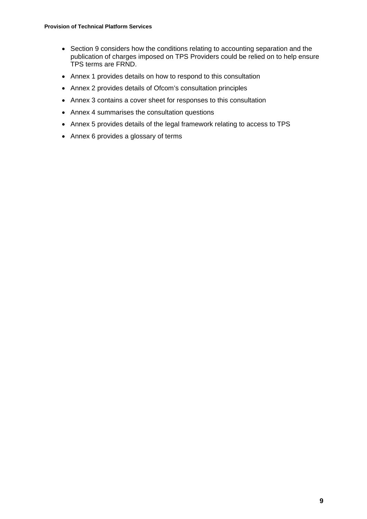- Section 9 considers how the conditions relating to accounting separation and the publication of charges imposed on TPS Providers could be relied on to help ensure TPS terms are FRND.
- Annex 1 provides details on how to respond to this consultation
- Annex 2 provides details of Ofcom's consultation principles
- Annex 3 contains a cover sheet for responses to this consultation
- Annex 4 summarises the consultation questions
- Annex 5 provides details of the legal framework relating to access to TPS
- Annex 6 provides a glossary of terms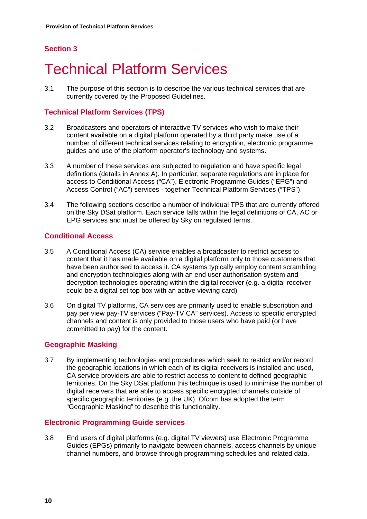# **Section 3**

# **Technical Platform Services**

3.1 The purpose of this section is to describe the various technical services that are currently covered by the Proposed Guidelines.

## **Technical Platform Services (TPS)**

- 3.2 Broadcasters and operators of interactive TV services who wish to make their content available on a digital platform operated by a third party make use of a number of different technical services relating to encryption, electronic programme guides and use of the platform operator's technology and systems.
- 3.3 A number of these services are subjected to regulation and have specific legal definitions (details in Annex A). In particular, separate regulations are in place for access to Conditional Access ("CA"), Electronic Programme Guides ("EPG") and Access Control ("AC") services - together Technical Platform Services ("TPS").
- 3.4 The following sections describe a number of individual TPS that are currently offered on the Sky DSat platform. Each service falls within the legal definitions of CA, AC or EPG services and must be offered by Sky on regulated terms.

## **Conditional Access**

- 3.5 A Conditional Access (CA) service enables a broadcaster to restrict access to content that it has made available on a digital platform only to those customers that have been authorised to access it. CA systems typically employ content scrambling and encryption technologies along with an end user authorisation system and decryption technologies operating within the digital receiver (e.g. a digital receiver could be a digital set top box with an active viewing card)
- 3.6 On digital TV platforms, CA services are primarily used to enable subscription and pay per view pay-TV services ("Pay-TV CA" services). Access to specific encrypted channels and content is only provided to those users who have paid (or have committed to pay) for the content.

## **Geographic Masking**

3.7 By implementing technologies and procedures which seek to restrict and/or record the geographic locations in which each of its digital receivers is installed and used, CA service providers are able to restrict access to content to defined geographic territories. On the Sky DSat platform this technique is used to minimise the number of digital receivers that are able to access specific encrypted channels outside of specific geographic territories (e.g. the UK). Ofcom has adopted the term "Geographic Masking" to describe this functionality.

## **Electronic Programming Guide services**

3.8 End users of digital platforms (e.g. digital TV viewers) use Electronic Programme Guides (EPGs) primarily to navigate between channels, access channels by unique channel numbers, and browse through programming schedules and related data.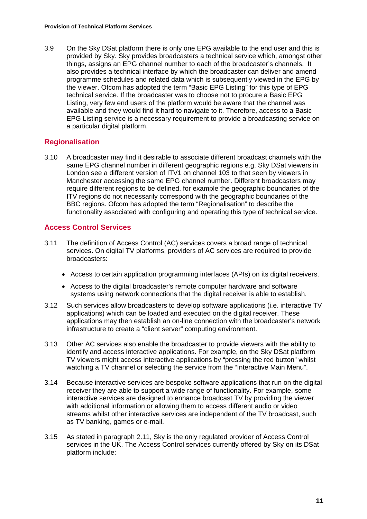3.9 On the Sky DSat platform there is only one EPG available to the end user and this is provided by Sky. Sky provides broadcasters a technical service which, amongst other things, assigns an EPG channel number to each of the broadcaster's channels. It also provides a technical interface by which the broadcaster can deliver and amend programme schedules and related data which is subsequently viewed in the EPG by the viewer. Ofcom has adopted the term "Basic EPG Listing" for this type of EPG technical service. If the broadcaster was to choose not to procure a Basic EPG Listing, very few end users of the platform would be aware that the channel was available and they would find it hard to navigate to it. Therefore, access to a Basic EPG Listing service is a necessary requirement to provide a broadcasting service on a particular digital platform.

## **Regionalisation**

3.10 A broadcaster may find it desirable to associate different broadcast channels with the same EPG channel number in different geographic regions e.g. Sky DSat viewers in London see a different version of ITV1 on channel 103 to that seen by viewers in Manchester accessing the same EPG channel number. Different broadcasters may require different regions to be defined, for example the geographic boundaries of the ITV regions do not necessarily correspond with the geographic boundaries of the BBC regions. Ofcom has adopted the term "Regionalisation" to describe the functionality associated with configuring and operating this type of technical service.

## **Access Control Services**

- 3.11 The definition of Access Control (AC) services covers a broad range of technical services. On digital TV platforms, providers of AC services are required to provide broadcasters:
	- Access to certain application programming interfaces (APIs) on its digital receivers.
	- Access to the digital broadcaster's remote computer hardware and software systems using network connections that the digital receiver is able to establish.
- 3.12 Such services allow broadcasters to develop software applications (i.e. interactive TV applications) which can be loaded and executed on the digital receiver. These applications may then establish an on-line connection with the broadcaster's network infrastructure to create a "client server" computing environment.
- 3.13 Other AC services also enable the broadcaster to provide viewers with the ability to identify and access interactive applications. For example, on the Sky DSat platform TV viewers might access interactive applications by "pressing the red button" whilst watching a TV channel or selecting the service from the "Interactive Main Menu".
- 3.14 Because interactive services are bespoke software applications that run on the digital receiver they are able to support a wide range of functionality. For example, some interactive services are designed to enhance broadcast TV by providing the viewer with additional information or allowing them to access different audio or video streams whilst other interactive services are independent of the TV broadcast, such as TV banking, games or e-mail.
- 3.15 As stated in paragraph 2.11, Sky is the only regulated provider of Access Control services in the UK. The Access Control services currently offered by Sky on its DSat platform include: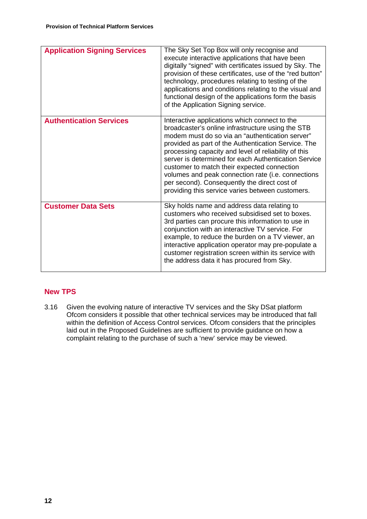| <b>Application Signing Services</b> | The Sky Set Top Box will only recognise and<br>execute interactive applications that have been<br>digitally "signed" with certificates issued by Sky. The<br>provision of these certificates, use of the "red button"<br>technology, procedures relating to testing of the<br>applications and conditions relating to the visual and<br>functional design of the applications form the basis<br>of the Application Signing service.                                                                                                   |
|-------------------------------------|---------------------------------------------------------------------------------------------------------------------------------------------------------------------------------------------------------------------------------------------------------------------------------------------------------------------------------------------------------------------------------------------------------------------------------------------------------------------------------------------------------------------------------------|
| <b>Authentication Services</b>      | Interactive applications which connect to the<br>broadcaster's online infrastructure using the STB<br>modem must do so via an "authentication server"<br>provided as part of the Authentication Service. The<br>processing capacity and level of reliability of this<br>server is determined for each Authentication Service<br>customer to match their expected connection<br>volumes and peak connection rate (i.e. connections<br>per second). Consequently the direct cost of<br>providing this service varies between customers. |
| <b>Customer Data Sets</b>           | Sky holds name and address data relating to<br>customers who received subsidised set to boxes.<br>3rd parties can procure this information to use in<br>conjunction with an interactive TV service. For<br>example, to reduce the burden on a TV viewer, an<br>interactive application operator may pre-populate a<br>customer registration screen within its service with<br>the address data it has procured from Sky.                                                                                                              |

## **New TPS**

3.16 Given the evolving nature of interactive TV services and the Sky DSat platform Ofcom considers it possible that other technical services may be introduced that fall within the definition of Access Control services. Ofcom considers that the principles laid out in the Proposed Guidelines are sufficient to provide guidance on how a complaint relating to the purchase of such a 'new' service may be viewed.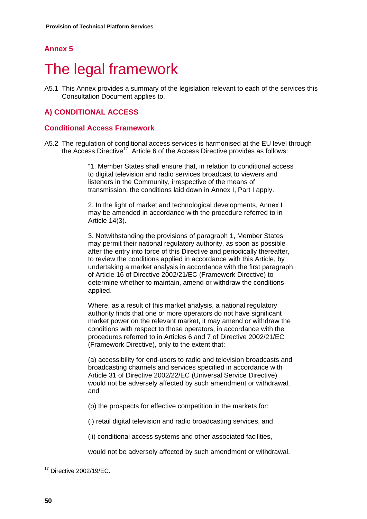## **Annex 5**

# 5 The legal framework

A5.1 This Annex provides a summary of the legislation relevant to each of the services this Consultation Document applies to.

## **A) CONDITIONAL ACCESS**

#### **Conditional Access Framework**

A5.2 The regulation of conditional access services is harmonised at the EU level through the Access Directive<sup>17</sup>. Article 6 of the Access Directive provides as follows:

> "1. Member States shall ensure that, in relation to conditional access to digital television and radio services broadcast to viewers and listeners in the Community, irrespective of the means of transmission, the conditions laid down in Annex I, Part I apply.

2. In the light of market and technological developments, Annex I may be amended in accordance with the procedure referred to in Article 14(3).

3. Notwithstanding the provisions of paragraph 1, Member States may permit their national regulatory authority, as soon as possible after the entry into force of this Directive and periodically thereafter, to review the conditions applied in accordance with this Article, by undertaking a market analysis in accordance with the first paragraph of Article 16 of Directive 2002/21/EC (Framework Directive) to determine whether to maintain, amend or withdraw the conditions applied.

Where, as a result of this market analysis, a national regulatory authority finds that one or more operators do not have significant market power on the relevant market, it may amend or withdraw the conditions with respect to those operators, in accordance with the procedures referred to in Articles 6 and 7 of Directive 2002/21/EC (Framework Directive), only to the extent that:

(a) accessibility for end-users to radio and television broadcasts and broadcasting channels and services specified in accordance with Article 31 of Directive 2002/22/EC (Universal Service Directive) would not be adversely affected by such amendment or withdrawal, and

(b) the prospects for effective competition in the markets for:

(i) retail digital television and radio broadcasting services, and

(ii) conditional access systems and other associated facilities,

would not be adversely affected by such amendment or withdrawal.

17 Directive 2002/19/EC.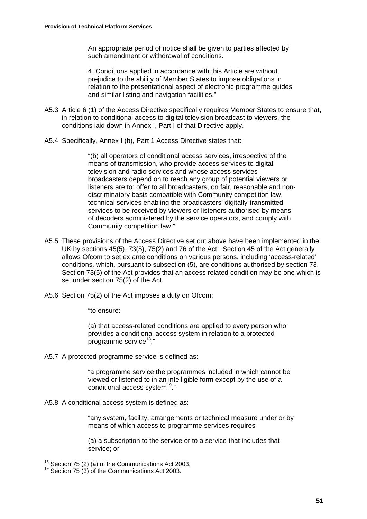An appropriate period of notice shall be given to parties affected by such amendment or withdrawal of conditions.

4. Conditions applied in accordance with this Article are without prejudice to the ability of Member States to impose obligations in relation to the presentational aspect of electronic programme guides and similar listing and navigation facilities."

- A5.3 Article 6 (1) of the Access Directive specifically requires Member States to ensure that, in relation to conditional access to digital television broadcast to viewers, the conditions laid down in Annex I, Part I of that Directive apply.
- A5.4 Specifically, Annex I (b), Part 1 Access Directive states that:

"(b) all operators of conditional access services, irrespective of the means of transmission, who provide access services to digital television and radio services and whose access services broadcasters depend on to reach any group of potential viewers or listeners are to: offer to all broadcasters, on fair, reasonable and nondiscriminatory basis compatible with Community competition law, technical services enabling the broadcasters' digitally-transmitted services to be received by viewers or listeners authorised by means of decoders administered by the service operators, and comply with Community competition law."

- A5.5 These provisions of the Access Directive set out above have been implemented in the UK by sections 45(5), 73(5), 75(2) and 76 of the Act. Section 45 of the Act generally allows Ofcom to set ex ante conditions on various persons, including 'access-related' conditions, which, pursuant to subsection (5), are conditions authorised by section 73. Section 73(5) of the Act provides that an access related condition may be one which is set under section 75(2) of the Act.
- A5.6 Section 75(2) of the Act imposes a duty on Ofcom:

"to ensure:

(a) that access-related conditions are applied to every person who provides a conditional access system in relation to a protected programme service<sup>18</sup>."

A5.7 A protected programme service is defined as:

"a programme service the programmes included in which cannot be viewed or listened to in an intelligible form except by the use of a conditional access system $19."$ 

A5.8 A conditional access system is defined as:

"any system, facility, arrangements or technical measure under or by means of which access to programme services requires -

(a) a subscription to the service or to a service that includes that service; or

<sup>18</sup> Section 75 (2) (a) of the Communications Act 2003.<br><sup>19</sup> Section 75 (3) of the Communications Act 2003.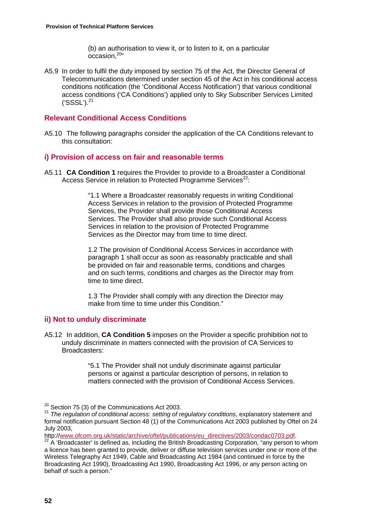(b) an authorisation to view it, or to listen to it, on a particular occasion.<sup>20"</sup>

A5.9 In order to fulfil the duty imposed by section 75 of the Act, the Director General of Telecommunications determined under section 45 of the Act in his conditional access conditions notification (the 'Conditional Access Notification') that various conditional access conditions ('CA Conditions') applied only to Sky Subscriber Services Limited  $('SSSL')<sup>21</sup>$ 

## **Relevant Conditional Access Conditions**

A5.10 The following paragraphs consider the application of the CA Conditions relevant to this consultation:

## **i) Provision of access on fair and reasonable terms**

A5.11 **CA Condition 1** requires the Provider to provide to a Broadcaster a Conditional Access Service in relation to Protected Programme Services<sup>22</sup>:

> "1.1 Where a Broadcaster reasonably requests in writing Conditional Access Services in relation to the provision of Protected Programme Services, the Provider shall provide those Conditional Access Services. The Provider shall also provide such Conditional Access Services in relation to the provision of Protected Programme Services as the Director may from time to time direct.

> 1.2 The provision of Conditional Access Services in accordance with paragraph 1 shall occur as soon as reasonably practicable and shall be provided on fair and reasonable terms, conditions and charges and on such terms, conditions and charges as the Director may from time to time direct.

1.3 The Provider shall comply with any direction the Director may make from time to time under this Condition."

## **ii) Not to unduly discriminate**

A5.12 In addition, **CA Condition 5** imposes on the Provider a specific prohibition not to unduly discriminate in matters connected with the provision of CA Services to Broadcasters:

> "5.1 The Provider shall not unduly discriminate against particular persons or against a particular description of persons, in relation to matters connected with the provision of Conditional Access Services.

<sup>&</sup>lt;sup>20</sup> Section 75 (3) of the Communications Act 2003.<br><sup>21</sup> *The requlation of conditional access: setting of regulatory conditions*, explanatory statement and formal notification pursuant Section 48 (1) of the Communications Act 2003 published by Oftel on 24 July 2003,<br>http://www.ofcom.org.uk/static/archive/oftel/publications/eu\_directives/2003/condac0703.pdf.

 $h^{22}$  A 'Broadcaster' is defined as, including the British Broadcasting Corporation, "any person to whom a licence has been granted to provide, deliver or diffuse television services under one or more of the Wireless Telegraphy Act 1949, Cable and Broadcasting Act 1984 (and continued in force by the Broadcasting Act 1990), Broadcasting Act 1990, Broadcasting Act 1996, or any person acting on behalf of such a person."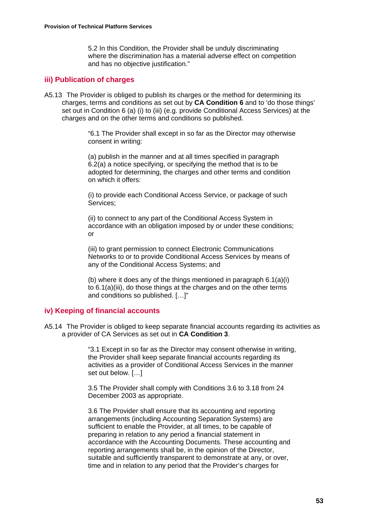5.2 In this Condition, the Provider shall be unduly discriminating where the discrimination has a material adverse effect on competition and has no objective justification."

#### **iii) Publication of charges**

A5.13 The Provider is obliged to publish its charges or the method for determining its charges, terms and conditions as set out by **CA Condition 6** and to 'do those things' set out in Condition 6 (a) (i) to (iii) (e.g. provide Conditional Access Services) at the charges and on the other terms and conditions so published.

> "6.1 The Provider shall except in so far as the Director may otherwise consent in writing:

(a) publish in the manner and at all times specified in paragraph 6.2(a) a notice specifying, or specifying the method that is to be adopted for determining, the charges and other terms and condition on which it offers:

(i) to provide each Conditional Access Service, or package of such Services;

(ii) to connect to any part of the Conditional Access System in accordance with an obligation imposed by or under these conditions; or

(iii) to grant permission to connect Electronic Communications Networks to or to provide Conditional Access Services by means of any of the Conditional Access Systems; and

(b) where it does any of the things mentioned in paragraph 6.1(a)(i) to 6.1(a)(iii), do those things at the charges and on the other terms and conditions so published. […]"

## **iv) Keeping of financial accounts**

A5.14 The Provider is obliged to keep separate financial accounts regarding its activities as a provider of CA Services as set out in **CA Condition 3**.

> "3.1 Except in so far as the Director may consent otherwise in writing, the Provider shall keep separate financial accounts regarding its activities as a provider of Conditional Access Services in the manner set out below. […]

3.5 The Provider shall comply with Conditions 3.6 to 3.18 from 24 December 2003 as appropriate.

3.6 The Provider shall ensure that its accounting and reporting arrangements (including Accounting Separation Systems) are sufficient to enable the Provider, at all times, to be capable of preparing in relation to any period a financial statement in accordance with the Accounting Documents. These accounting and reporting arrangements shall be, in the opinion of the Director, suitable and sufficiently transparent to demonstrate at any, or over, time and in relation to any period that the Provider's charges for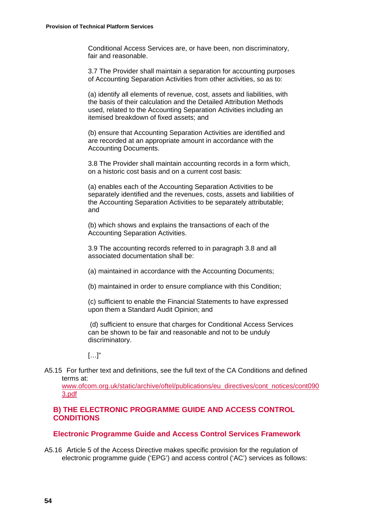Conditional Access Services are, or have been, non discriminatory, fair and reasonable.

3.7 The Provider shall maintain a separation for accounting purposes of Accounting Separation Activities from other activities, so as to:

(a) identify all elements of revenue, cost, assets and liabilities, with the basis of their calculation and the Detailed Attribution Methods used, related to the Accounting Separation Activities including an itemised breakdown of fixed assets; and

(b) ensure that Accounting Separation Activities are identified and are recorded at an appropriate amount in accordance with the Accounting Documents.

3.8 The Provider shall maintain accounting records in a form which, on a historic cost basis and on a current cost basis:

(a) enables each of the Accounting Separation Activities to be separately identified and the revenues, costs, assets and liabilities of the Accounting Separation Activities to be separately attributable; and

(b) which shows and explains the transactions of each of the Accounting Separation Activities.

3.9 The accounting records referred to in paragraph 3.8 and all associated documentation shall be:

(a) maintained in accordance with the Accounting Documents;

(b) maintained in order to ensure compliance with this Condition;

(c) sufficient to enable the Financial Statements to have expressed upon them a Standard Audit Opinion; and

 (d) sufficient to ensure that charges for Conditional Access Services can be shown to be fair and reasonable and not to be unduly discriminatory.

 $[...]$ "

A5.15 For further text and definitions, see the full text of the CA Conditions and defined terms at:

www.ofcom.org.uk/static/archive/oftel/publications/eu\_directives/cont\_notices/cont090 3.pdf

## **B) THE ELECTRONIC PROGRAMME GUIDE AND ACCESS CONTROL CONDITIONS**

#### **Electronic Programme Guide and Access Control Services Framework**

A5.16 Article 5 of the Access Directive makes specific provision for the regulation of electronic programme guide ('EPG') and access control ('AC') services as follows: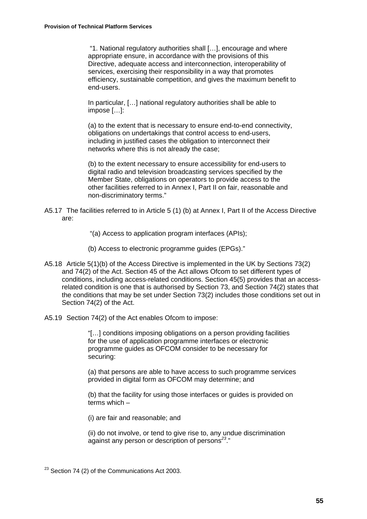"1. National regulatory authorities shall […], encourage and where appropriate ensure, in accordance with the provisions of this Directive, adequate access and interconnection, interoperability of services, exercising their responsibility in a way that promotes efficiency, sustainable competition, and gives the maximum benefit to end-users.

In particular, […] national regulatory authorities shall be able to impose […]:

(a) to the extent that is necessary to ensure end-to-end connectivity, obligations on undertakings that control access to end-users. including in justified cases the obligation to interconnect their networks where this is not already the case;

(b) to the extent necessary to ensure accessibility for end-users to digital radio and television broadcasting services specified by the Member State, obligations on operators to provide access to the other facilities referred to in Annex I, Part II on fair, reasonable and non-discriminatory terms."

- A5.17 The facilities referred to in Article 5 (1) (b) at Annex I, Part II of the Access Directive are:
	- "(a) Access to application program interfaces (APIs);

(b) Access to electronic programme guides (EPGs)."

- A5.18 Article 5(1)(b) of the Access Directive is implemented in the UK by Sections 73(2) and 74(2) of the Act. Section 45 of the Act allows Ofcom to set different types of conditions, including access-related conditions. Section 45(5) provides that an accessrelated condition is one that is authorised by Section 73, and Section 74(2) states that the conditions that may be set under Section 73(2) includes those conditions set out in Section 74(2) of the Act.
- A5.19 Section 74(2) of the Act enables Ofcom to impose:

"[…] conditions imposing obligations on a person providing facilities for the use of application programme interfaces or electronic programme guides as OFCOM consider to be necessary for securing:

(a) that persons are able to have access to such programme services provided in digital form as OFCOM may determine; and

(b) that the facility for using those interfaces or guides is provided on terms which –

(i) are fair and reasonable; and

(ii) do not involve, or tend to give rise to, any undue discrimination against any person or description of persons*<sup>23</sup>*."

 $23$  Section 74 (2) of the Communications Act 2003.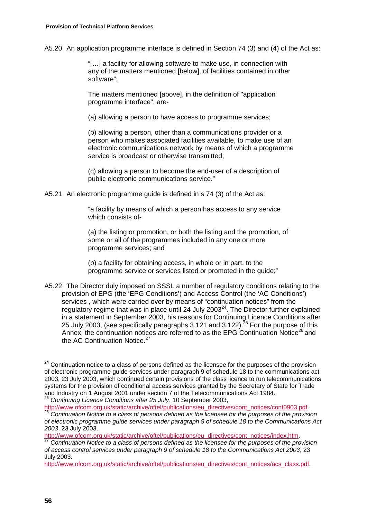A5.20 An application programme interface is defined in Section 74 (3) and (4) of the Act as:

"[…] a facility for allowing software to make use, in connection with any of the matters mentioned [below], of facilities contained in other software";

The matters mentioned [above], in the definition of "application programme interface", are-

(a) allowing a person to have access to programme services;

(b) allowing a person, other than a communications provider or a person who makes associated facilities available, to make use of an electronic communications network by means of which a programme service is broadcast or otherwise transmitted;

(c) allowing a person to become the end-user of a description of public electronic communications service."

A5.21 An electronic programme guide is defined in s 74 (3) of the Act as:

"a facility by means of which a person has access to any service which consists of-

(a) the listing or promotion, or both the listing and the promotion, of some or all of the programmes included in any one or more programme services; and

(b) a facility for obtaining access, in whole or in part, to the programme service or services listed or promoted in the guide;"

A5.22 The Director duly imposed on SSSL a number of regulatory conditions relating to the provision of EPG (the 'EPG Conditions') and Access Control (the 'AC Conditions') services , which were carried over by means of "continuation notices" from the regulatory regime that was in place until 24 July 2003 $^{24}$ . The Director further explained in a statement in September 2003, his reasons for Continuing Licence Conditions after 25 July 2003, (see specifically paragraphs 3.121 and 3.122).<sup>25</sup> For the purpose of this Annex, the continuation notices are referred to as the EPG Continuation Notice<sup>26</sup> and the AC Continuation Notice.<sup>27</sup>

<sup>24</sup> Continuation notice to a class of persons defined as the licensee for the purposes of the provision of electronic programme guide services under paragraph 9 of schedule 18 to the communications act 2003, 23 July 2003, which continued certain provisions of the class licence to run telecommunications systems for the provision of conditional access services granted by the Secretary of State for Trade and Industry on 1 August 2001 under section 7 of the Telecommunications Act 1984. <sup>25</sup> *Continuing Licence Conditions after 25 July*, 10 September 2003,

http://www.ofcom.org.uk/static/archive/oftel/publications/eu\_directives/cont\_notices/cont0903.pdf. <sup>26</sup> Continuation Notice to a class of persons defined as the licensee for the purposes of the provision *of electronic programme guide services under paragraph 9 of schedule 18 to the Communications Act* 

*2003*, 23 July 2003.

<sup>27</sup> Continuation Notice to a class of persons defined as the licensee for the purposes of the provision *of access control services under paragraph 9 of schedule 18 to the Communications Act 2003*, 23 July 2003.

http://www.ofcom.org.uk/static/archive/oftel/publications/eu\_directives/cont\_notices/acs\_class.pdf.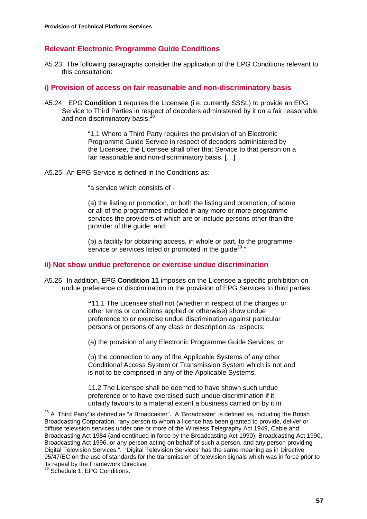## **Relevant Electronic Programme Guide Conditions**

A5.23 The following paragraphs consider the application of the EPG Conditions relevant to this consultation:

#### **i) Provision of access on fair reasonable and non-discriminatory basis**

A5.24 EPG **Condition 1** requires the Licensee (i.e. currently SSSL) to provide an EPG Service to Third Parties in respect of decoders administered by it on a fair reasonable and non-discriminatory basis.<sup>2</sup>

> "1.1 Where a Third Party requires the provision of an Electronic Programme Guide Service in respect of decoders administered by the Licensee, the Licensee shall offer that Service to that person on a fair reasonable and non-discriminatory basis. […]"

A5.25 An EPG Service is defined in the Conditions as:

"a service which consists of -

(a) the listing or promotion, or both the listing and promotion, of some or all of the programmes included in any more or more programme services the providers of which are or include persons other than the provider of the guide; and

(b) a facility for obtaining access, in whole or part, to the programme service or services listed or promoted in the quide<sup>29</sup>."

#### **ii) Not show undue preference or exercise undue discrimination**

A5.26 In addition, EPG **Condition 11** imposes on the Licensee a specific prohibition on undue preference or discrimination in the provision of EPG Services to third parties:

> **"**11.1 The Licensee shall not (whether in respect of the charges or other terms or conditions applied or otherwise) show undue preference to or exercise undue discrimination against particular persons or persons of any class or description as respects:

(a) the provision of any Electronic Programme Guide Services, or

(b) the connection to any of the Applicable Systems of any other Conditional Access System or Transmission System which is not and is not to be comprised in any of the Applicable Systems.

11.2 The Licensee shall be deemed to have shown such undue preference or to have exercised such undue discrimination if it unfairly favours to a material extent a business carried on by it in

 $28$  A 'Third Party' is defined as "a Broadcaster". A 'Broadcaster' is defined as, including the British Broadcasting Corporation, "any person to whom a licence has been granted to provide, deliver or diffuse television services under one or more of the Wireless Telegraphy Act 1949, Cable and Broadcasting Act 1984 (and continued in force by the Broadcasting Act 1990), Broadcasting Act 1990, Broadcasting Act 1996, or any person acting on behalf of such a person, and any person providing Digital Television Services.". 'Digital Television Services' has the same meaning as in Directive 95/47/EC on the use of standards for the transmission of television signals which was in force prior to its repeal by the Framework Directive.

<sup>29</sup> Schedule 1, EPG Conditions.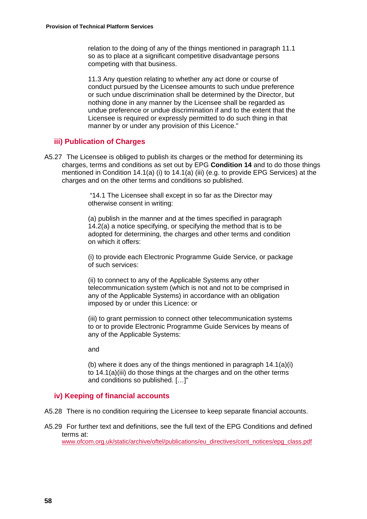relation to the doing of any of the things mentioned in paragraph 11.1 so as to place at a significant competitive disadvantage persons competing with that business.

11.3 Any question relating to whether any act done or course of conduct pursued by the Licensee amounts to such undue preference or such undue discrimination shall be determined by the Director, but nothing done in any manner by the Licensee shall be regarded as undue preference or undue discrimination if and to the extent that the Licensee is required or expressly permitted to do such thing in that manner by or under any provision of this Licence."

## **iii) Publication of Charges**

A5.27 The Licensee is obliged to publish its charges or the method for determining its charges, terms and conditions as set out by EPG **Condition 14** and to do those things mentioned in Condition 14.1(a) (i) to 14.1(a) (iii) (e.g. to provide EPG Services) at the charges and on the other terms and conditions so published.

> "14.1 The Licensee shall except in so far as the Director may otherwise consent in writing:

(a) publish in the manner and at the times specified in paragraph 14.2(a) a notice specifying, or specifying the method that is to be adopted for determining, the charges and other terms and condition on which it offers:

(i) to provide each Electronic Programme Guide Service, or package of such services:

(ii) to connect to any of the Applicable Systems any other telecommunication system (which is not and not to be comprised in any of the Applicable Systems) in accordance with an obligation imposed by or under this Licence: or

(iii) to grant permission to connect other telecommunication systems to or to provide Electronic Programme Guide Services by means of any of the Applicable Systems:

and

(b) where it does any of the things mentioned in paragraph 14.1(a)(i) to 14.1(a)(iii) do those things at the charges and on the other terms and conditions so published. […]"

## **iv) Keeping of financial accounts**

- A5.28 There is no condition requiring the Licensee to keep separate financial accounts.
- A5.29 For further text and definitions, see the full text of the EPG Conditions and defined terms at:

www.ofcom.org.uk/static/archive/oftel/publications/eu\_directives/cont\_notices/epg\_class.pdf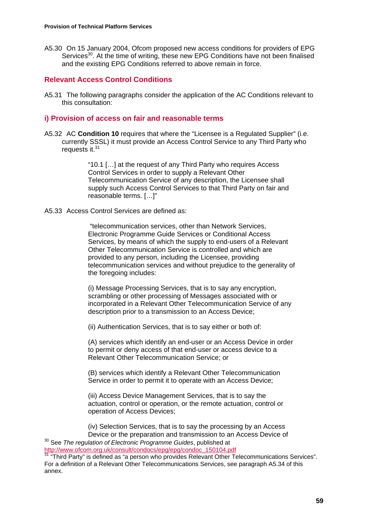A5.30 On 15 January 2004, Ofcom proposed new access conditions for providers of EPG Services<sup>30</sup>. At the time of writing, these new EPG Conditions have not been finalised and the existing EPG Conditions referred to above remain in force.

## **Relevant Access Control Conditions**

A5.31 The following paragraphs consider the application of the AC Conditions relevant to this consultation:

## **i) Provision of access on fair and reasonable terms**

A5.32 AC **Condition 10** requires that where the "Licensee is a Regulated Supplier" (i.e. currently SSSL) it must provide an Access Control Service to any Third Party who requests it.<sup>31</sup>

> "10.1 […] at the request of any Third Party who requires Access Control Services in order to supply a Relevant Other Telecommunication Service of any description, the Licensee shall supply such Access Control Services to that Third Party on fair and reasonable terms. […]"

A5.33 Access Control Services are defined as:

 "telecommunication services, other than Network Services, Electronic Programme Guide Services or Conditional Access Services, by means of which the supply to end-users of a Relevant Other Telecommunication Service is controlled and which are provided to any person, including the Licensee, providing telecommunication services and without prejudice to the generality of the foregoing includes:

(i) Message Processing Services, that is to say any encryption, scrambling or other processing of Messages associated with or incorporated in a Relevant Other Telecommunication Service of any description prior to a transmission to an Access Device;

(ii) Authentication Services, that is to say either or both of:

(A) services which identify an end-user or an Access Device in order to permit or deny access of that end-user or access device to a Relevant Other Telecommunication Service; or

(B) services which identify a Relevant Other Telecommunication Service in order to permit it to operate with an Access Device;

(iii) Access Device Management Services, that is to say the actuation, control or operation, or the remote actuation, control or operation of Access Devices;

(iv) Selection Services, that is to say the processing by an Access Device or the preparation and transmission to an Access Device of

<sup>30</sup> See *The regulation of Electronic Programme Guides*, published at http://www.ofcom.org.uk/consult/condocs/epg/epg/condoc\_150104.pdf

http://www.consult.com/condocs/epg/consultations/epg/condocs/epg/condocs/epg/condocs/epg/condocs/epg/condocs/e<br><sup>31</sup> "Third Party" is defined as "a person who provides Relevant Other Telecommunications Services". For a definition of a Relevant Other Telecommunications Services, see paragraph A5.34 of this annex.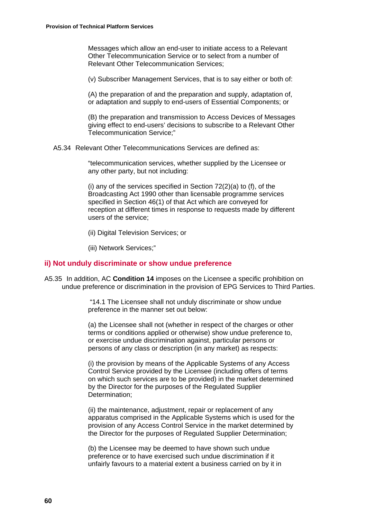Messages which allow an end-user to initiate access to a Relevant Other Telecommunication Service or to select from a number of Relevant Other Telecommunication Services;

(v) Subscriber Management Services, that is to say either or both of:

(A) the preparation of and the preparation and supply, adaptation of, or adaptation and supply to end-users of Essential Components; or

(B) the preparation and transmission to Access Devices of Messages giving effect to end-users' decisions to subscribe to a Relevant Other Telecommunication Service;"

A5.34 Relevant Other Telecommunications Services are defined as:

"telecommunication services, whether supplied by the Licensee or any other party, but not including:

(i) any of the services specified in Section 72(2)(a) to (f), of the Broadcasting Act 1990 other than licensable programme services specified in Section 46(1) of that Act which are conveyed for reception at different times in response to requests made by different users of the service;

(ii) Digital Television Services; or

(iii) Network Services;"

#### **ii) Not unduly discriminate or show undue preference**

A5.35 In addition, AC **Condition 14** imposes on the Licensee a specific prohibition on undue preference or discrimination in the provision of EPG Services to Third Parties.

> "14.1 The Licensee shall not unduly discriminate or show undue preference in the manner set out below:

(a) the Licensee shall not (whether in respect of the charges or other terms or conditions applied or otherwise) show undue preference to, or exercise undue discrimination against, particular persons or persons of any class or description (in any market) as respects:

(i) the provision by means of the Applicable Systems of any Access Control Service provided by the Licensee (including offers of terms on which such services are to be provided) in the market determined by the Director for the purposes of the Regulated Supplier Determination;

(ii) the maintenance, adjustment, repair or replacement of any apparatus comprised in the Applicable Systems which is used for the provision of any Access Control Service in the market determined by the Director for the purposes of Regulated Supplier Determination;

(b) the Licensee may be deemed to have shown such undue preference or to have exercised such undue discrimination if it unfairly favours to a material extent a business carried on by it in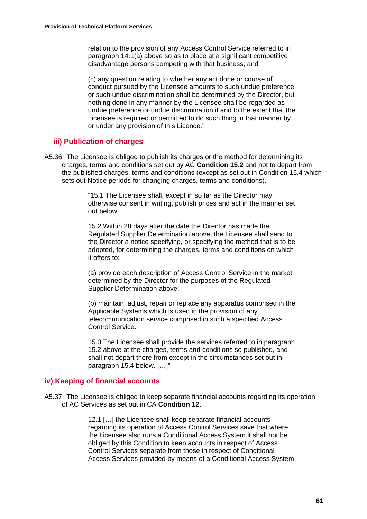relation to the provision of any Access Control Service referred to in paragraph 14.1(a) above so as to place at a significant competitive disadvantage persons competing with that business; and

(c) any question relating to whether any act done or course of conduct pursued by the Licensee amounts to such undue preference or such undue discrimination shall be determined by the Director, but nothing done in any manner by the Licensee shall be regarded as undue preference or undue discrimination if and to the extent that the Licensee is required or permitted to do such thing in that manner by or under any provision of this Licence."

#### **iii) Publication of charges**

A5.36 The Licensee is obliged to publish its charges or the method for determining its charges, terms and conditions set out by AC **Condition 15.2** and not to depart from the published charges, terms and conditions (except as set out in Condition 15.4 which sets out Notice periods for changing charges, terms and conditions).

> "15.1 The Licensee shall, except in so far as the Director may otherwise consent in writing, publish prices and act in the manner set out below.

> 15.2 Within 28 days after the date the Director has made the Regulated Supplier Determination above, the Licensee shall send to the Director a notice specifying, or specifying the method that is to be adopted, for determining the charges, terms and conditions on which it offers to:

(a) provide each description of Access Control Service in the market determined by the Director for the purposes of the Regulated Supplier Determination above;

(b) maintain, adjust, repair or replace any apparatus comprised in the Applicable Systems which is used in the provision of any telecommunication service comprised in such a specified Access Control Service.

15.3 The Licensee shall provide the services referred to in paragraph 15.2 above at the charges, terms and conditions so published, and shall not depart there from except in the circumstances set out in paragraph 15.4 below. […]"

## **iv) Keeping of financial accounts**

A5.37 The Licensee is obliged to keep separate financial accounts regarding its operation of AC Services as set out in CA **Condition 12**.

> 12.1 […] the Licensee shall keep separate financial accounts regarding its operation of Access Control Services save that where the Licensee also runs a Conditional Access System it shall not be obliged by this Condition to keep accounts in respect of Access Control Services separate from those in respect of Conditional Access Services provided by means of a Conditional Access System.